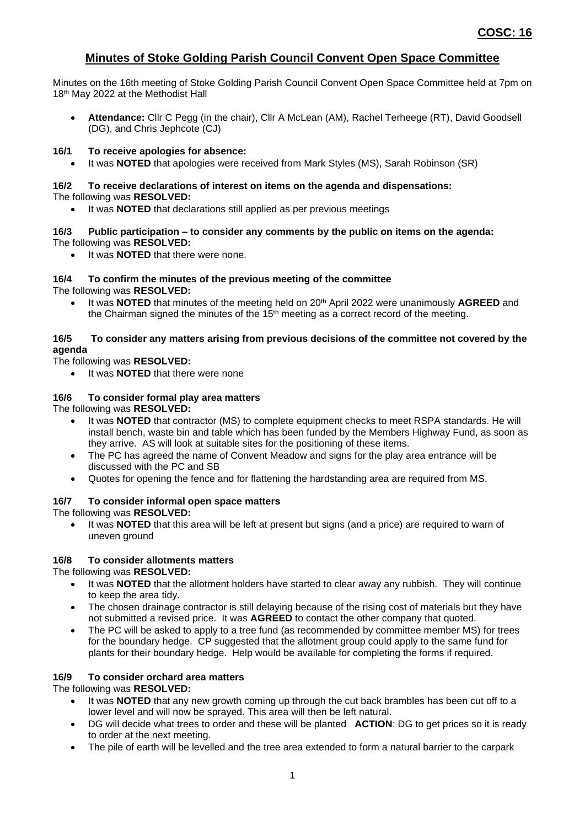## **Minutes of Stoke Golding Parish Council Convent Open Space Committee**

Minutes on the 16th meeting of Stoke Golding Parish Council Convent Open Space Committee held at 7pm on 18<sup>th</sup> May 2022 at the Methodist Hall

• **Attendance:** Cllr C Pegg (in the chair), Cllr A McLean (AM), Rachel Terheege (RT), David Goodsell (DG), and Chris Jephcote (CJ)

## **16/1 To receive apologies for absence:**

• It was **NOTED** that apologies were received from Mark Styles (MS), Sarah Robinson (SR)

## **16/2 To receive declarations of interest on items on the agenda and dispensations:** The following was **RESOLVED:**

It was **NOTED** that declarations still applied as per previous meetings

## **16/3 Public participation – to consider any comments by the public on items on the agenda:** The following was **RESOLVED:**

It was **NOTED** that there were none.

#### **16/4 To confirm the minutes of the previous meeting of the committee** The following was **RESOLVED:**

It was **NOTED** that minutes of the meeting held on 20<sup>th</sup> April 2022 were unanimously AGREED and the Chairman signed the minutes of the  $15<sup>th</sup>$  meeting as a correct record of the meeting.

## **16/5 To consider any matters arising from previous decisions of the committee not covered by the agenda**

The following was **RESOLVED:**

It was **NOTED** that there were none

## **16/6 To consider formal play area matters**

The following was **RESOLVED:**

- It was **NOTED** that contractor (MS) to complete equipment checks to meet RSPA standards. He will install bench, waste bin and table which has been funded by the Members Highway Fund, as soon as they arrive. AS will look at suitable sites for the positioning of these items.
- The PC has agreed the name of Convent Meadow and signs for the play area entrance will be discussed with the PC and SB
- Quotes for opening the fence and for flattening the hardstanding area are required from MS.

## **16/7 To consider informal open space matters**

The following was **RESOLVED:**

• It was **NOTED** that this area will be left at present but signs (and a price) are required to warn of uneven ground

## **16/8 To consider allotments matters**

The following was **RESOLVED:**

- It was **NOTED** that the allotment holders have started to clear away any rubbish. They will continue to keep the area tidy.
- The chosen drainage contractor is still delaying because of the rising cost of materials but they have not submitted a revised price. It was **AGREED** to contact the other company that quoted.
- The PC will be asked to apply to a tree fund (as recommended by committee member MS) for trees for the boundary hedge. CP suggested that the allotment group could apply to the same fund for plants for their boundary hedge. Help would be available for completing the forms if required.

## **16/9 To consider orchard area matters**

The following was **RESOLVED:**

- It was **NOTED** that any new growth coming up through the cut back brambles has been cut off to a lower level and will now be sprayed. This area will then be left natural.
- DG will decide what trees to order and these will be planted **ACTION**: DG to get prices so it is ready to order at the next meeting.
- The pile of earth will be levelled and the tree area extended to form a natural barrier to the carpark